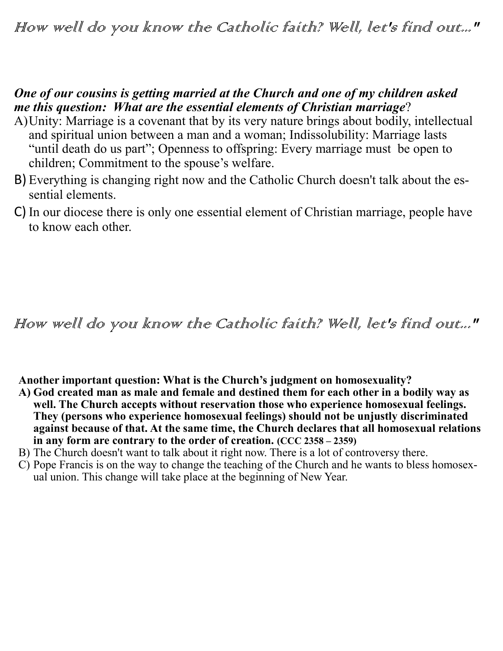## How well do you know the Catholic faith? Well, let's find out..."

## *One of our cousins is getting married at the Church and one of my children asked me this question: What are the essential elements of Christian marriage*?

- A)Unity: Marriage is a covenant that by its very nature brings about bodily, intellectual and spiritual union between a man and a woman; Indissolubility: Marriage lasts "until death do us part"; Openness to offspring: Every marriage must be open to children; Commitment to the spouse's welfare.
- B) Everything is changing right now and the Catholic Church doesn't talk about the essential elements.
- C) In our diocese there is only one essential element of Christian marriage, people have to know each other.

## How well do you know the Catholic faith? Well, let's find out..."

**Another important question: What is the Church's judgment on homosexuality?**

- **A) God created man as male and female and destined them for each other in a bodily way as well. The Church accepts without reservation those who experience homosexual feelings. They (persons who experience homosexual feelings) should not be unjustly discriminated against because of that. At the same time, the Church declares that all homosexual relations in any form are contrary to the order of creation. (CCC 2358 – 2359)**
- B) The Church doesn't want to talk about it right now. There is a lot of controversy there.
- C) Pope Francis is on the way to change the teaching of the Church and he wants to bless homosexual union. This change will take place at the beginning of New Year.